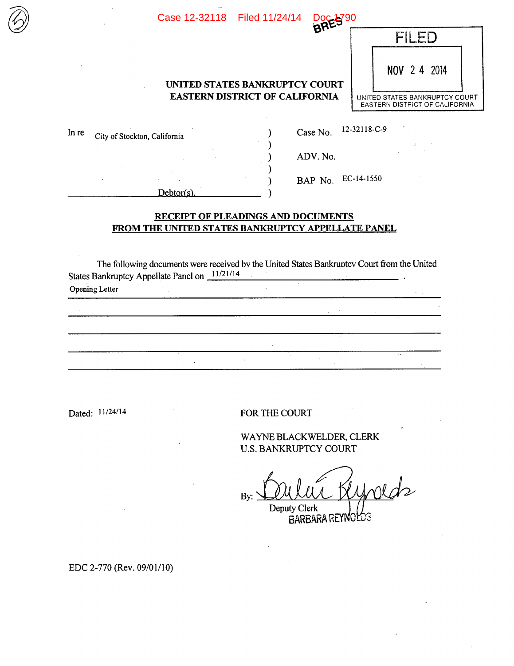| Case 12-32118 Filed 11/24/14          |                                       | <b>RED</b>                                                              |  |  |  |              |  |
|---------------------------------------|---------------------------------------|-------------------------------------------------------------------------|--|--|--|--------------|--|
|                                       |                                       |                                                                         |  |  |  |              |  |
|                                       | <b>UNITED STATES BANKRUPTCY COURT</b> |                                                                         |  |  |  | NOV 2 4 2014 |  |
| <b>EASTERN DISTRICT OF CALIFORNIA</b> |                                       | UNITED STATES BANKRUPTCY COURT<br><b>EASTERN DISTRICT OF CALIFORNIA</b> |  |  |  |              |  |
|                                       |                                       |                                                                         |  |  |  |              |  |

| UNITED STATES BANKRUPTCY COURT        |
|---------------------------------------|
| <b>EASTERN DISTRICT OF CALIFORNIA</b> |

| In re<br>City of Stockton, California |            | Case No. | 12-32118-C-9       |
|---------------------------------------|------------|----------|--------------------|
|                                       |            | ADV. No. |                    |
|                                       |            |          | BAP No. EC-14-1550 |
|                                       | Debtor(s). |          |                    |

 $\sim 20$ 

 $\mathcal{L}^{\text{max}}_{\text{max}}$  ,  $\mathcal{L}^{\text{max}}_{\text{max}}$ 

## **RECEIPT OF PLEADINGS AND DOCUMENTS FROM THE UNITED STATES BANKRUPTCY APPELLATE PANEL**

The following documents were received by the United States Bankruntcv Court from the United States Bankruptcy Appellate Panel on  $11/21/14$  $\sim 10$  $\mathcal{L}$ Opening Letter

 $\sim$ 

 $\hat{\mathcal{A}}$ 

Dated:  $11/24/14$  FOR THE COURT

the contract of the contract of the contract

WAYNE BLACK WELDER. CLERK U.S. BANKRUPTCY COURT

 $B$ y:  $1^{2}$ Deputy Clerk

BARBARA REYNOLOS

EDC 2-770 (Rev. 09/01/10)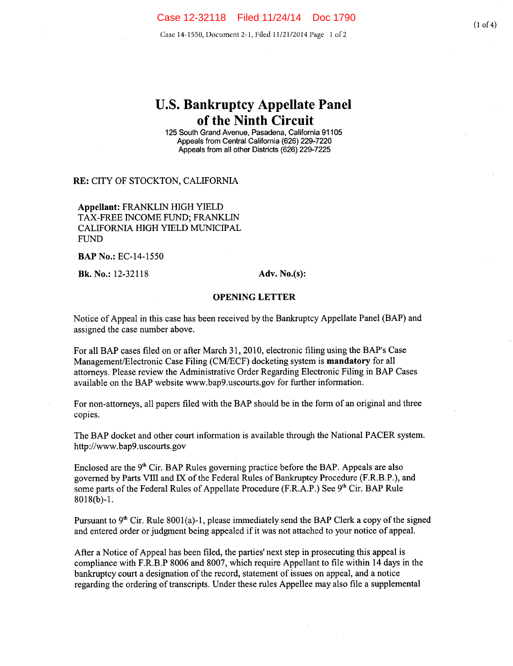Case 14-1550, Document 2-1, Filed 11/21/2014 Page 1 of 2

# **U.S. Bankruptcy Appellate Panel of the Ninth Circuit**

**125 South** Grand Avenue, Pasadena, California 91105 Appeals from Central California (626) 229-7220 Appeals from all other Districts (626) **229-7225** 

### **RE:** CITY OF STOCKTON, CALIFORNIA

**Appellant:** FRANKLIN HIGH YIELD TAX-FREE INCOME FUND; FRANKLIN CALIFORNIA HIGH YIELD MUNICIPAL FUND

**BAPNo.:** EC-14-1550

**Bk. No.:** 12-32118 **Adv. No.(s):** 

#### **OPENING LETTER**

Notice of Appeal in this case has been received by the Bankruptcy Appellate Panel (BAP) and assigned the case number above.

For all BAP cases filed on or after March 31, 2010, electronic filing using the BAP's Case Management/Electronic Case Filing (CMIECF) docketing system is **mandatory** for all attorneys. Please review the Administrative Order Regarding Electronic Filing in BAP Cases available on the BAP website www.bap9.uscourts.gov for further information.

For non-attorneys, all papers filed with the BAP should be in the form of an original and three copies.

The BAP docket and other court information is available through the National PACER system. http://www.bap9.uscourts.gov

Enclosed are the  $9<sup>th</sup>$  Cir. BAP Rules governing practice before the BAP. Appeals are also governed by Parts Vifi and IX of the Federal Rules of Bankruptcy Procedure (F.R.B.P.), and some parts of the Federal Rules of Appellate Procedure (F.R.A.P.) See 9<sup>th</sup> Cir. BAP Rule 8018(b)-i.

Pursuant to  $9<sup>th</sup>$  Cir. Rule 8001(a)-1, please immediately send the BAP Clerk a copy of the signed and entered order or judgment being appealed if it was not attached to your notice of appeal.

After a Notice of Appeal has been filed, the parties' next step in prosecuting this appeal is compliance with F.R.B.P 8006 and 8007, which require Appellant to file within 14 days in the bankruptcy court a designation of the record, statement of issues on appeal, and a notice regarding the ordering of transcripts. Under these rules Appellee may also file a supplemental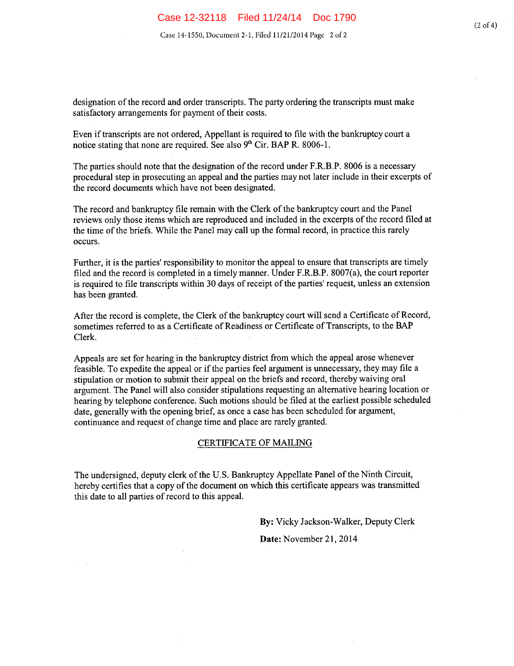designation of the record and order transcripts. The party ordering the transcripts must make satisfactory arrangements for payment of their costs.

Even if transcripts are not ordered, Appellant is required to file with the bankruptcy court a notice stating that none are required. See also 9<sup>th</sup> Cir. **BAP R. 8006-1.** 

The parties should note that the designation of the record under F.R.B.P. 8006 is a necessary procedural step in prosecuting an appeal and the parties may not later include in their excerpts of the record documents which have not been designated.

The record and bankruptcy file remain with the Clerk of the bankruptcy court and the Panel reviews only those items which are reproduced and included in the excerpts of the record filed at the time of the briefs. While the Panel may call up the formal record, in practice this rarely occurs.

Further, it is the parties' responsibility to monitor the appeal to ensure that transcripts are timely filed and the record is completed in a timely manner. Under F.R.B.P. 8007(a), the court reporter is required to file transcripts within 30 days of receipt of the parties' request, unless an extension has been granted.

After the record is complete, the Clerk of the bankruptcy court will send a Certificate of Record, sometimes referred to as a Certificate of Readiness or Certificate of Transcripts, to the BAP Clerk.

Appeals are set for hearing in the bankruptcy district from which the appeal arose whenever feasible. To expedite the appeal or if the parties feel argument is unnecessary, they may file a stipulation or motion to submit their appeal on the briefs and record, thereby waiving oral argument. The Panel will also consider stipulations requesting an alternative hearing location or hearing by telephone conference. Such motions should be filed at the earliest possible scheduled date, generally with the opening brief, as once a case has been scheduled for argument, continuance and request of change time and place are rarely granted.

### CERTIFICATE OF MAILING

The undersigned, deputy clerk of the U.S. Bankruptcy Appellate Panel of the Ninth Circuit, hereby certifies that a copy of the document on which this certificate appears was transmitted this date to all parties of record to this appeal.

**By:** Vicky Jackson-Walker, Deputy Clerk

**Date:** November 21, 2014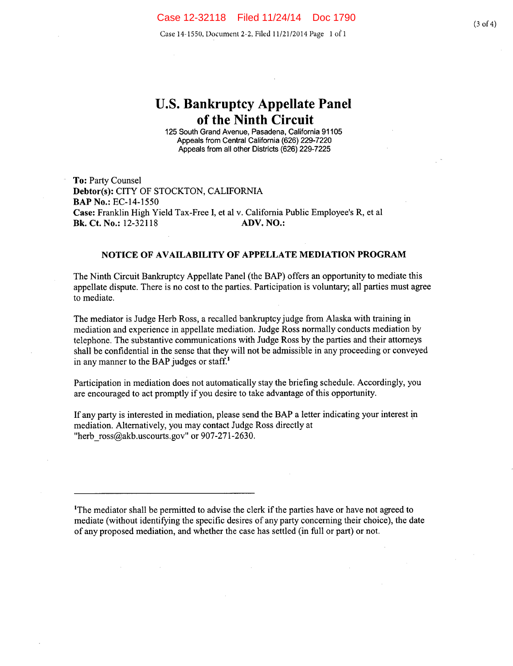Case 14-1550, Document 2-2, Filed 11/21/2014 Page 1 of 1

# **U.S. Bankruptcy Appellate Panel of the Ninth Circuit**

125 South Grand Avenue, Pasadena, California 91105 Appeals from Central California (626) 229-7220 Appeals from all other Districts (626) 229-7225

To: Party Counsel **Debtor(s):** CITY OF STOCKTON, CALIFORNIA **BAPNo.:** EC-14-1550 **Case:** Franklin High Yield Tax-Free I, et al v. California Public Employee's R, et a! **Bk. Ct. No.:** 12-32118 **ADV. NO.:** 

### **NOTICE OF AVAILABILITY OF APPELLATE MEDIATION PROGRAM**

The Ninth Circuit Bankruptcy Appellate Panel (the BAP) offers an opportunity to mediate this appellate dispute. There is no cost to the parties. Participation is voluntary; all parties must agree to mediate.

The mediator is Judge Herb Ross, a recalled bankruptcy judge from Alaska with training in mediation and experience in appellate mediation. Judge Ross normally conducts mediation by telephone. The substantive communications with Judge **Ross** by the parties and their attorneys shall be confidential in the sense that they will not be admissible in any proceeding or conveyed in any manner to the BAP judges or staff.'

Participation in mediation does not automatically stay the briefing schedule. Accordingly, you are encouraged to act promptly if you desire to take advantage of this opportunity.

If any party is interested in mediation, please send the BAP a letter indicating your interest in mediation. Alternatively, you may contact Judge Ross directly at "herb  $\cos(\omega)$ akb.uscourts.gov" or 907-271-2630.

'The mediator shall be permitted to advise the clerk if the parties have or have not agreed to mediate (without identifying the specific desires of any party concerning their choice), the date of any proposed mediation, and whether the case has settled (in full or part) or not.